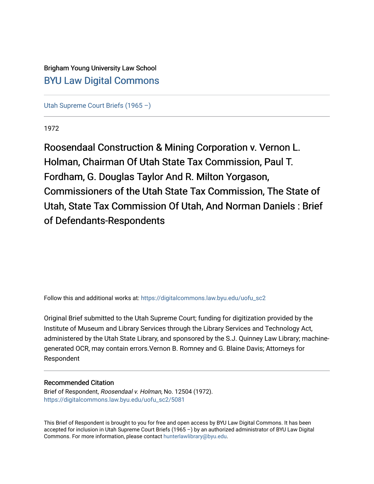# Brigham Young University Law School [BYU Law Digital Commons](https://digitalcommons.law.byu.edu/)

[Utah Supreme Court Briefs \(1965 –\)](https://digitalcommons.law.byu.edu/uofu_sc2)

1972

Roosendaal Construction & Mining Corporation v. Vernon L. Holman, Chairman Of Utah State Tax Commission, Paul T. Fordham, G. Douglas Taylor And R. Milton Yorgason, Commissioners of the Utah State Tax Commission, The State of Utah, State Tax Commission Of Utah, And Norman Daniels : Brief of Defendants-Respondents

Follow this and additional works at: [https://digitalcommons.law.byu.edu/uofu\\_sc2](https://digitalcommons.law.byu.edu/uofu_sc2?utm_source=digitalcommons.law.byu.edu%2Fuofu_sc2%2F5081&utm_medium=PDF&utm_campaign=PDFCoverPages)

Original Brief submitted to the Utah Supreme Court; funding for digitization provided by the Institute of Museum and Library Services through the Library Services and Technology Act, administered by the Utah State Library, and sponsored by the S.J. Quinney Law Library; machinegenerated OCR, may contain errors.Vernon B. Romney and G. Blaine Davis; Attorneys for Respondent

# Recommended Citation

Brief of Respondent, Roosendaal v. Holman, No. 12504 (1972). [https://digitalcommons.law.byu.edu/uofu\\_sc2/5081](https://digitalcommons.law.byu.edu/uofu_sc2/5081?utm_source=digitalcommons.law.byu.edu%2Fuofu_sc2%2F5081&utm_medium=PDF&utm_campaign=PDFCoverPages) 

This Brief of Respondent is brought to you for free and open access by BYU Law Digital Commons. It has been accepted for inclusion in Utah Supreme Court Briefs (1965 –) by an authorized administrator of BYU Law Digital Commons. For more information, please contact [hunterlawlibrary@byu.edu](mailto:hunterlawlibrary@byu.edu).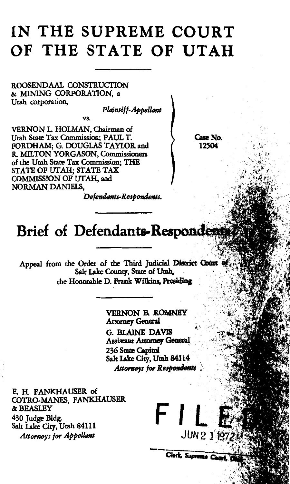# **IN THE SUPREME COURT OF THE STATE OF UTAH**

ROOSENDAAL CONSTRUCTION & MINING CORPORATION, a Utah corporation.

*Plaintiff-Appelltml* 

vs.

VERNON L HOLMAN, Chairman of Utah State Tax Commission; PAUL T. FORDHAM; G. DOUGLAS TAYLOR and R. MILTON YORGASON, Commissioners of the Utah State Tax Commission; THE STATE OF UTAH; STATE TAX COMMISSION OF UTAH, and NORMAN DANIELS,

Case No. 12504

*Defetultmls-Respondems.* 

# Brief of Defendants-Respondent

Appeal from the Order of the Third Judicial District Count Salt Lake County, State of Utah, the Honorable D. Frank Wilkins, Presiding

> VERNON B. ROMNEY Attomey General

G. BLAINE DAVIS **Assistant Attorney General** 236 State Capitol Salt Lake City, Utah 84114 *Attorneys for Respondents* 

**FILE** 

Clerk, Suprame Court

E. H. FANKHAUSER of COTRO-MANES, FANKHAUSER &BEASLEY 430 Judge Bldg. Salt Lake City, *Attorneys for Appellant*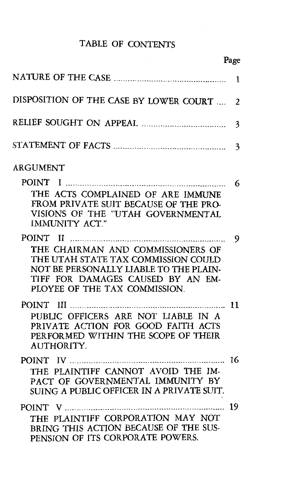# TABLE OF CONTENTS

Page

| DISPOSITION OF THE CASE BY LOWER COURT                                                                                                                                                   | $\overline{2}$ |
|------------------------------------------------------------------------------------------------------------------------------------------------------------------------------------------|----------------|
|                                                                                                                                                                                          | 3              |
|                                                                                                                                                                                          | 3              |
| ARGUMENT                                                                                                                                                                                 | 6              |
| THE ACTS COMPLAINED OF ARE IMMUNE<br>FROM PRIVATE SUIT BECAUSE OF THE PRO-<br>VISIONS OF THE "UTAH GOVERNMENTAL<br><b>IMMUNITY ACT."</b>                                                 |                |
| THE CHAIRMAN AND COMMISSIONERS OF<br>THE UTAH STATE TAX COMMISSION COULD<br>NOT BE PERSONALLY LIABLE TO THE PLAIN-<br>TIFF FOR DAMAGES CAUSED BY AN EM-<br>PLOYEE OF THE TAX COMMISSION. | 9              |
| PUBLIC OFFICERS ARE NOT LIABLE IN A<br>PRIVATE ACTION FOR GOOD FAITH ACTS<br>PERFORMED WITHIN THE SCOPE OF THEIR<br><b>AUTHORITY.</b>                                                    |                |
| THE PLAINTIFF CANNOT AVOID THE IM-<br>PACT OF GOVERNMENTAL IMMUNITY BY<br>SUING A PUBLIC OFFICER IN A PRIVATE SUIT.                                                                      | 16             |
| THE PLAINTIFF CORPORATION MAY NOT<br>BRING THIS ACTION BECAUSE OF THE SUS-<br>PENSION OF ITS CORPORATE POWERS.                                                                           |                |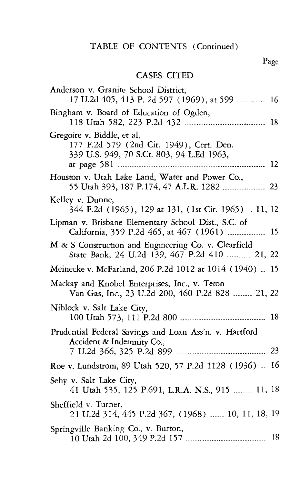# TABLE OF CONTENTS (Continued)

# CASES CITED

| Anderson v. Granite School District,<br>17 U.2d 405, 413 P. 2d 597 (1969), at 599  16                               |
|---------------------------------------------------------------------------------------------------------------------|
| Bingham v. Board of Education of Ogden,                                                                             |
| Gregoire v. Biddle, et al,<br>177 F.2d 579 (2nd Cir. 1949), Cert. Den.<br>339 U.S. 949, 70 S.Ct. 803, 94 L.Ed 1963, |
| Houston v. Utah Lake Land, Water and Power Co.,<br>55 Utah 393, 187 P.174, 47 A.L.R. 1282  23                       |
| Kelley v. Dunne,<br>344 F.2d (1965), 129 at 131, (1st Cir. 1965)  11, 12                                            |
| Lipman v. Brisbane Elementary School Dist., S.C. of<br>California, 359 P.2d 465, at 467 (1961)<br>15                |
| M & S Construction and Engineering Co. v. Clearfield<br>State Bank, 24 U.2d 139, 467 P.2d 410  21, 22               |
| Meinecke v. McFarland, 206 P.2d 1012 at 1014 (1940)  15                                                             |
| Mackay and Knobel Enterprises, Inc., v. Teton<br>Van Gas, Inc., 23 U.2d 200, 460 P.2d 828  21, 22                   |
| Niblock v. Salt Lake City,                                                                                          |
| Prudential Federal Savings and Loan Ass'n. v. Hartford<br>Accident & Indemnity Co.,                                 |
|                                                                                                                     |
| Roe v. Lundstrom, 89 Utah 520, 57 P.2d 1128 (1936)  16                                                              |
| Sehy v. Salt Lake City,<br>41 Utah 535, 125 P.691, L.R.A. N.S., 915  11, 18                                         |
| Sheffield v. Turner,<br>21 U.2d 314, 445 P.2d 367, (1968)  10, 11, 18, 19                                           |
| Springville Banking Co., v. Burton,                                                                                 |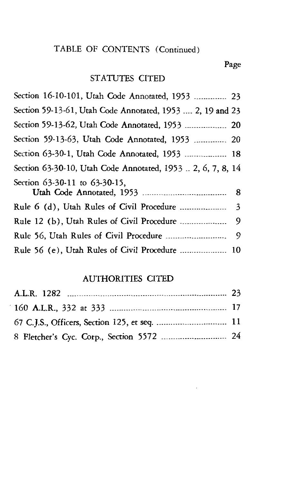# TABLE OF CONTENTS (Continued)

## Page

# STATUTES CITED

# AUTHORITIES CITED

| 8 Fletcher's Cyc. Corp., Section 5572  24 |  |
|-------------------------------------------|--|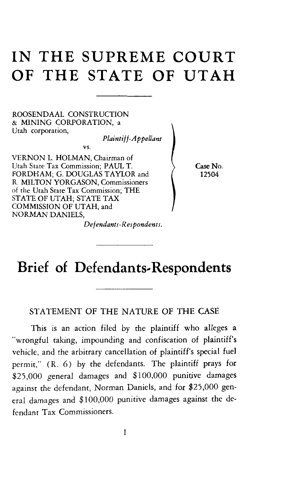# **IN THE SUPREME COURT OF THE STATE OF UTAH**

ROOSENDAAL CONSTRUCTION & MINING CORPORATION, a Utah corporation,

*Plaintiff-Appellant* 

VERNON L. HOLMAN, Chairman of Utah State Tax Commission; PAUL T. FORDHAM; G. DOUGLAS TAYLOR and R. MILTON YORGASON, Commissioners of the Utah State Tax Commission; THE STATE OF UTAH; STATE TAX COMMISSION OF UTAH, and NORMAN DANIELS,

vs.

Case No. 12504

#### *Defendants-Respondents.*

# **Brief of Defendants-Respondents**

## STATEMENT OF THE NATURE OF THE CASE

This is an action filed by the plaintiff who alleges a "wrongful taking, impounding and confiscation of plaintiff's vehicle, and the arbitrary cancellation of plaintiff's special fuel permit," (R. 6) by the defendants. The plaintiff prays for \$25,000 general damages and \$100,000 punitjve damages against the defendant, Norman Daniels, and for \$25,000 general damages and \$100,000 punitive damages against the defendant Tax Commissioners.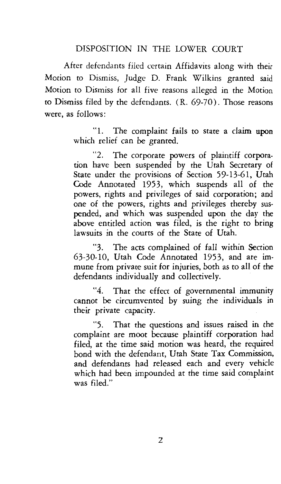#### DISPOSITION IN THE LOWER COURT

After defendants filed certain Affidavits along with their Motion to Dismiss, Judge D. Frank Wilkins granted said Motion to Dismiss for all five reasons alleged in the Motion to Dismiss filed by the defendants.  $(R, 69-70)$ . Those reasons were, as follows:

> "1. The complaint fails to state a claim upon which relief can be granted.

> "2. The corporate powers of plaintiff corporation have been suspended by the Utah Secretary of State under the provisions of Section 59-13-61, Utah Code Annotated 1953, which suspends all of the powers, rights and privileges of said corporation; and one of the powers, rights and privileges thereby suspended, and which was suspended upon the day the above entitled action was filed, is the right to bring lawsuits in the courts of the State of Utah.

> "3. The acts complained of fall within Section 63-30-10, Utah Code Annotated 1953, and are immune from private suit for injuries, both as to all of the defendants individually and collectively.

> "4. That the effect of governmental immunity cannot be circumvented by suing the individuals in their private capacity.

> "5. That the questions and issues raised in the complaint are moot because plaintiff corporation had filed, at the time said motion was heard, the required bond with the defendant, Utah State Tax Commission, and defendants had released each and every vehicle which had been impounded at the time said complaint was filed."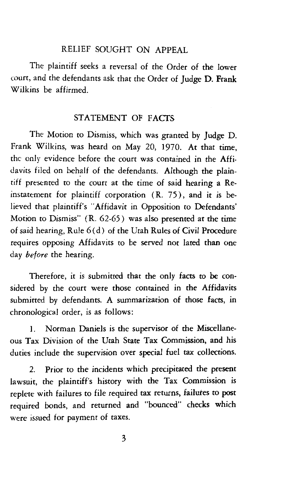## RELIEF SOUGHT ON APPEAL

The plaintiff seeks a reversal of the Order of the lower court, and the defendants ask that the Order of Judge D. Frank Wilkins be affirmed.

### STATEMENT OF FACTS

The Motion to Dismiss, which was granted by Judge D. Frank Wilkins, was heard on May 20, 1970. At that time, the only evidence before the court was contained in the Affidavits filed on behalf of the defendants. Although the plaintiff presented to the court at the time of said hearing a Reinstatement for plaintiff corporation  $(R. 75)$ , and it is believed that plaintiff's "Affidavit in Opposition to Defendants' Motion to Dismiss" ( R. 62-65) was also presented at the time of said hearing, Rule 6(d) of the Utah Rules of Civil Procedure requires opposing Affidavits to be served not lated than one day *before* the hearing.

Therefore, it is submitted that the only facts to be considered by the court were those contained in the Affidavits submitted by defendants. A summarization of those facts, in chronological order, is as follows:

I. Norman Daniels is the supervisor of the Miscellaneous Tax Division of the Utah State Tax Commission, and his duties include the supervision over special fuel tax collections.

2. Prior to the incidents which precipitated the present lawsuit, the plaintiff's history with the Tax Commission is replete with failures to file required tax returns, failutes to post required bonds, and returned and "bounced" checks which were issued for payment of taxes.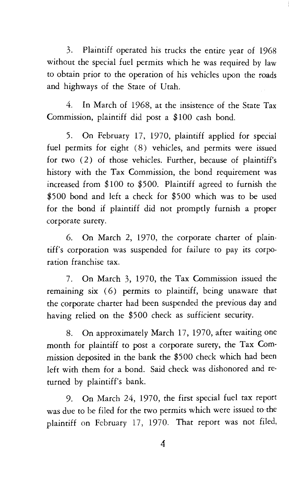3. Plaintiff operated his trucks the entire year of 1968 without the special fuel permits which he was required by law to obtain prior to the operation of his vehicles upon the roads and highways of the State of Utah.

4. In March of 1968, at the insistence of the State Tax Commission, plaintiff did post a \$100 cash bond.

5. On February 17, 1970, plaintiff applied for special fuel permits for eight (8) vehicles, and permits were issued for two ( 2) of those vehicles. Further, because of plaintiff's history with the Tax Commission, the bond requirement was increased from \$100 to \$500. Plaintiff agreed to furnish the \$500 bond and left a check for \$500 which was to be used for the bond if plaintiff did not promptly furnish a proper corporate surety.

6. On March 2, 1970, the corporate charter of plaintiff's corporation was suspended for failure to pay its corporation franchise tax.

7. On March 3, 1970, the Tax Commission issued the remaining six (6) permits to plaintiff, being unaware that the corporate charter had been suspended the previous day and having relied on the \$500 check as sufficient security.

8. On approximately March 17, 1970, after waiting one month for plaintiff to post a corporate surety, the Tax Commission deposited in the bank the \$500 check which had been left with them for a bond. Said check was dishonored and returned by plaintiff's bank.

9. On March 24, 1970, the first special fuel tax report was due to be filed for the two permits which were issued to the plaintiff on February 17, 1970. That report was not filed,

4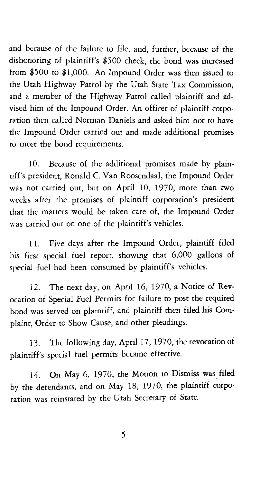and because of the failure to file, and, further, because of the dishonoring of plaintiff's \$500 check, the bond was increased from \$500 to \$1,000. An Impound Order was then issued to the Utah Highway Patrol by the Utah State Tax Commission, and a member of the Highway Patrol called plaintiff and advised him of the Impound Order. An officer of plaintiff corporation then called Norman Daniels and asked him not to have the Impound Order carried out and made additional promises to meet the bond requirements.

10. Because of the additional promises made by plaintiff's president, Ronald C. Van Roosendaal, the Impound Order was not carried out, but on April 10, 1970, more than two weeks after the promises of plaintiff corporation's president that the matters would be taken care of, the Impound Order was carried out on one of the plaintiff's vehicles.

11. Five days after the Impound Order, plaintiff filed his first special fuel report, showing that 6,000 gallons of special fuel had been consumed by plaintiff's vehicles.

12. The next day, on April 16, 1970, a Notice of Revocation of Special Fuel Permits for failure to post the required bond was served on plaintiff, and plaintiff then filed his Complaint, Order to Show Cause, and other pleadings.

13. The following day, April 17, 1970, the revocation of plaintiff's special fuel permits became effective.

14. On May 6, 1970, the Motion to Dismiss was\_ filed by the defendants, and on May 18, 1970, the plaintiff corporation was reinstated by the Utah Secretary of State.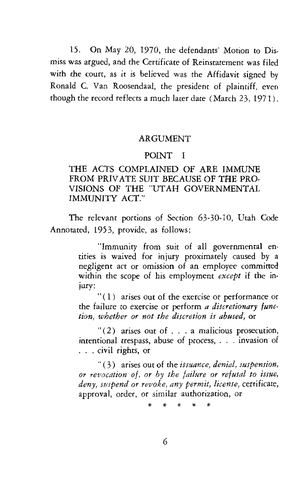15. On May 20, 1970, the defendants' Motion to Dismiss was argued, and the Certificate of Reinstatement was filed with the court, as it is believed was the Affidavit signed by Ronald C. Van Roosendaal, the president of plaintiff, even though the record reflects a much later date (March 23, 1971).

#### ARGUMENT

#### POINT I

### THE ACTS COMPLAINED OF ARE IMMUNE FROM PRIVATE SUIT BECAUSE OF THE PRO-VISIONS OF THE "UTAH GOVERNMENTAL IMMUNITY ACT."

The relevant portions of Section 63-30-10, Utah Code Annotated, 1953, provide, as follows:

> "Immunity from suit of all governmental entities is waived for injury proximately caused by a negligent act or omission of an employee committed within the scope of his employment *except* if the injury:

> "(1) arises out of the exercise or performance or the failure to exercise or perform *a discretionary function, whether or not the discretion is abused,* or

> " $(2)$  arises out of . . . a malicious prosecution, intentional trespass, abuse of process, . . . invasion of . . . civil rights, or

> " ( 3) arises out of the *issuance, denial, suspension, or revocation of, or by the failure or refusal to issue, deny, suspend or revoke, any permit, license,* certificate, approval, order, or similar authorization, or

> > \* \* \* \* \*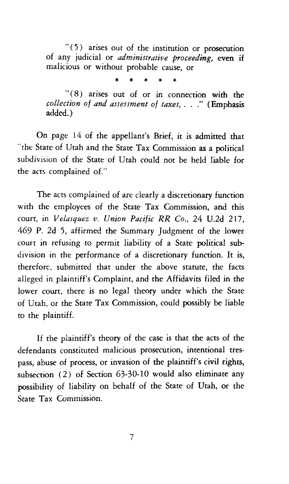$"(5)$  arises out of the institution or prosecution of any judicial or *administrative proceeding,* even if malicious or without probable cause, or

\* \* \* \* \*

 $"(8)$  arises out of or in connection with the *collection of and assessment of taxes,* ... " (Emphasis added.)

On page 14 of the appellant's Brief, it is admitted that "the State of Utah and the State Tax Commission as a political subdivision of the State of Utah could not be held liable for the acts complained of."

The acts complained of are clearly a discretionary function with the employees of the State Tax Commission, and this court, in *Velasquez v. Union Pacific RR Co.,* 24 U.2d 217, 469 P. 2d 5, affirmed the Summary Judgment of the lower court in refusing to permit liability of a State political subdivision in the performance of a discretionary function. It is, therefore, submitted that under the above statute, the facts alleged in plaintiff's Complaint, and the Affidavits filed in the lower court, there is no legal theory under which the State of Utah, or the State Tax Commission, could possibly be liable to the plaintiff.

If the plaintiff's theory of the case is that the acts of the defendants constituted malicious prosecution, intentional trespass, abuse of process, or invasion of the plaintiff's civil rights, subsection (2) of Section 63-30-10 would also eliminate any possibility of liability on behalf of the State of Utah, or the State Tax Commission.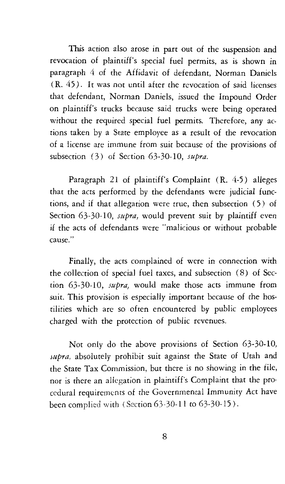This action also arose in part out of the suspension and revocation of plaintiff's special fuel permits, as is shown in paragraph 4 of the Affidavit of defendant, Norman Daniels ( R. 45). It was not until after the revocation of said licenses that defendant, Norman Daniels, issued the Impound Order on plaintiff's trucks because said trucks were being operated without the required special fuel permits. Therefore, any actions taken by a State employee as a result of the revocation of a license are immune from suit because of the provisions of subsection (3) of Section 63-30-10, *supra.* 

Paragraph 21 of plaintiff's Complaint (R. 4-5) alleges that the acts performed by the defendants were judicial functions, and if that allegation were true, then subsection ( 5) of Section 63-30-10, *supra*, would prevent suit by plaintiff even if the acts of defendants were "malicious or without probable cause."

Finally, the acts complained of were in connection with the collection of special fuel taxes, and subsection (8) of Section 63-30-10, *supra,* would make those acts immune from suit. This provision is especially important because of the hostilities which are so often encountered by public employees charged with the protection of public revenues.

Not only do the above provisions of Section 63-30-10, *Jupra*, absolutely prohibit suit against the State of Utah and the State Tax Commission, but there is no showing in the file, nor is there an allegation in plaintiff's Complaint that the procedural requirements of the Governmental Immunity Act have been complied with (Section 63-30-11 to 63-30-15).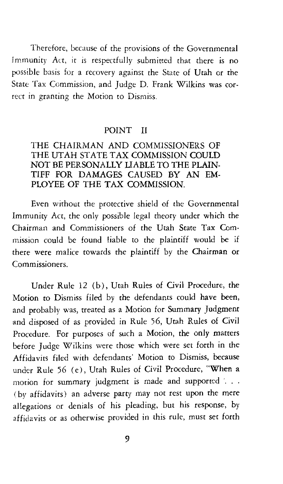Therefore, because of the provisions of the Governmental Immunity Act, it is respectfully submitted that there is no possible basis for a recovery against the State of Utah or the State Tax Commission, and Judge D. Frank Wilkins was correct in granting the Motion to Dismiss.

#### POINT II

## THE CHAIRMAN AND COMMISSIONERS OF THE UTAH STATE TAX COMMISSION COULD NOT BE PERSONALLY LIABLE TO THE PLAIN-TIFF FOR DAMAGES CAUSED BY AN EM-PLOYEE OF THE TAX COMMISSION.

Even without the protective shield of the Governmental Immunity Act, the only possible legal theory under which the Chairman and Commissioners of the Utah State Tax Commission could be found liable to the plaintiff would be if there were malice towards the plaintiff by the Chairman or Commissioners.

Under Rule 12 (b), Utah Rules of Civil Procedure, the Motion to Dismiss filed by the defendants could have been, and probably was, treated as a Motion for Summary Judgment and disposed of as provided in Rule 56, Utah Rules of Civil Procedure. For purposes of such a Motion, the only matters before Judge Wilkins were those which were set forth in the Affidavits filed with defendants' Motion to Dismiss, because under Rule 56 (e), Utah Rules of Civil Procedure, "When a motion for summary judgment is made and supported '. . . (by affidavits) an adverse party may not rest upon the mere allegations or denials of his pleading, but his response, by affidavits or as otherwise provided in this rule, must set forth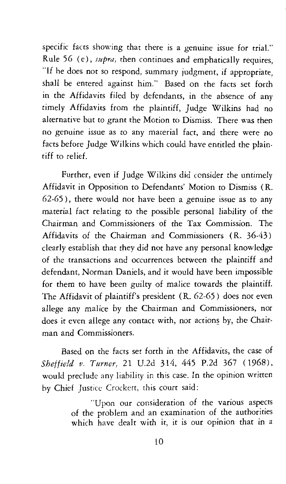specific facts showing that there is a genuine issue for trial." Rule 56 ( e), *supra,* then continues and emphatically requires, "If he does not so respond, summary judgment, if appropriate, shall be entered against him." Based on the facts set forth in the Affidavits filed by defendants, in the absence of any timely Affidavits from the plaintiff, Judge Wilkins had no alternative but to grant the Motion to Dismiss. There was then no genuine issue as to any material fact, and there were no facts before Judge Wilkins which could have entitled the plaintiff to relief.

Further, even if Judge Wilkins did consider the untimely Affidavit in Opposition to Defendants' Motion to Dismiss ( R. 62-65), there would not have been a genuine issue as to any material fact relating to the possible personal liability of the Chairman and Commissioners of the Tax Commission. The Affidavits of the Chairman and Commissioners ( R. 36-43) clearly establish that they did not have any personal knowledge of the transactions and occurrences between the plaintiff and defendant, Norman Daniels, and it would have been impossible for them to have been guilty of malice towards the plaintiff. The Affidavit of plaintiff's president ( R. 62-65) does not even allege any malice by the Chairman and Commissioners, nor does it even allege any contact with, nor actions by, the Chairman and Commissioners.

Based on the facts set forth in the Affidavits, the case of *Sheffield v. Turner,* 21 U.2d 314, 445 P.2d 367 (1968), would preclude any liability in this case. In the opinion written by Chief Justice Crockett, this court said:

> "Upon our consideration of the various aspects of the problem and an examination of the authorities which have dealt with it, it is our opinion that in a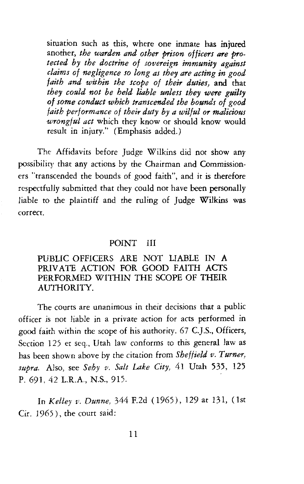situation such as this, where one inmate has injured another, *the warden and other prison officers are protected by the doctrine of sovereign immunity against claims of negligence so long as they are acting in good faith and within the scope of their duties,* and that *they could not be held liable unless they were guilty of some conduct which transcended the bounds of good faith performance of their duty by a wilful or malicious wrongful act* which they know or should know would result in injury." (Emphasis added.)

The Affidavits before Judge Wilkins did not show any possibility that any actions by the Chairman and Commissioners "transcended the bounds of good faith'', and it is therefore respectfully submitted that they could not have been personally liable to the plaintiff and the ruling of Judge Wilkins was correct.

#### POINT III

#### PUBLIC OFFICERS ARE NOT LIABLE IN A PRIVATE ACTION FOR GOOD FAITH ACTS PERFORMED WITHIN THE SCOPE OF THEIR AUTHORITY.

The courts are unanimous in their decisions that a public officer is not liable in a private action for acts performed in good faith within the scope of his authority. 67 C.J.S., Officers, Section 125 et seq., Utah law conforms to this general law as has been shown above by the citation from *Sheffield v. Turner, supra.* Also, see *Sehy v. Salt Lake City,* 41 Utah 535, 125 P. 691, 42 LR.A., N.S., 915.

In *Kelley v. Dunne,* 344 F.2d ( 1965), 129 at 131, (1st  $Cir. 1965$ ), the court said: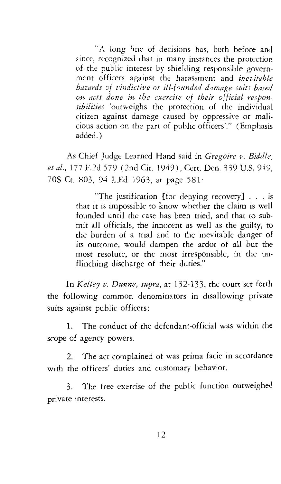"A long line of decisions has, both before and since, recognized that in many instances the protection of the public interest by shielding responsible government officers against the harassment and *inevitable hazards of vindictive or ill-founded damage suits based on acts done in the exercise of their official responsibilities* 'outweighs the protection of the individual citizen against damage caused by oppressive or malicious action on the part of public officers'." (Emphasis added.)

As Chief Judge Learned Hand said in *Gregoire v. Biddle, et al.,* 177 F.2d 579 (2nd Cir. 1949), Cert. Den. 339 U.S. 949, 70S Ct. 803, 94 L.Ed 1963, at page 581:

> "The justification [for denying recovery]  $\ldots$  is that it is impossible to know whether the claim is well founded until the case has been tried, and that to submit all officials, the innocent as well as the guilty, to the burden of a trial and to the inevitable danger of its outcome, would dampen the ardor of all but the most resolute, or the most irresponsible, in the unflinching discharge of their duties."

In *Kelley v. Dunne, supra,* at 132-133, the court set forth the following common denominators in disallowing private suits against public officers:

1. The conduct of the defendant-official was within the scope of agency powers.

2. The act complained of was prima facie in accordance with the officers' duties and customary behavior.

3. The free exercise of the public function outweighed private mterests.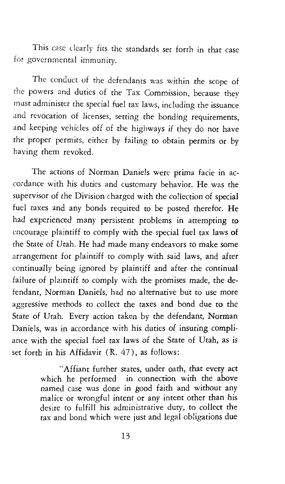This case clearly fits the standards set forth in that case for governmental immunity.

The conduct of the defendants was within the scope of the powers and duties of the Tax Commission, because they must administer the special fuel tax laws, including the issuance and revocation of licenses, setting the bonding requirements, and keeping vehicles off of the highways if they do not have the proper permits, either by failing to obtain permits or by having them revoked.

The actions of Norman Daniels were prima facie in accordance with his duties and customary behavior. He was the supervisor of the Division charged with the collection of special fuel taxes and any bonds required to be posted therefor. He had experienced many persistent problems in attempting to encourage plaintiff to comply with the special fuel tax laws of the State of Utah. He had made many endeavors to make some arrangement for plaintiff to comply with said laws, and after continually being ignored by plaintiff and after the continual failure of plaintiff to comply with the promises made, the defendant, Norman Daniels, had no alternative but to use more aggressive methods to collect the taxes and bond due to the State of Utah. Every action taken by the defendant, Norman Daniels, was in accordance with his duties of insuring compliance with the special fuel tax laws of the State of Utah, as is set forth in his Affidavit  $(R, 47)$ , as follows:

> "Affiant further states, under oath, that every act which he performed in connection with the above named case was done in good faith and without any malice or wrongful intent or any intent other than his desire to fulfill his administrative duty, to collect the tax and bond which were just and legal obligations due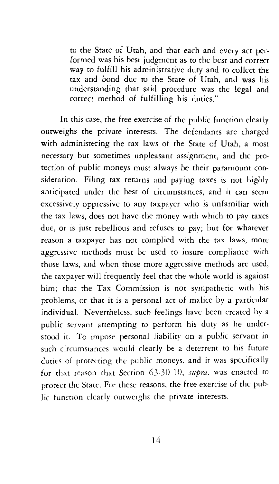to the State of Utah, and that each and every act performed was his best judgment as to the best and correct way to fulfill his administrative duty and to collect the tax and bond due to the State of Utah, and was his understanding that said procedure was the legal and correct method of fulfilling his duties."

In this case, the free exercise of the public function clearly outweighs the private interests. The defendants are charged with administering the tax laws of the State of Utah, a most necessary but sometimes unpleasant assignment, and the protection of public moneys must always be their paramount consideration. Filing tax returns and paying taxes is not highly anticipated under the best of circumstances, and it can seem excessively oppressive to any taxpayer who is unfamiliar with the tax laws, does not have the money with which to pay taxes due, or is just rebellious and refuses to pay; but for whatever reason a taxpayer has not complied with the tax laws, more aggressive methods must be used to insure compliance with those laws, and when those more aggressive methods are used, the taxpayer will frequently feel that the whole world is against him; that the Tax Commission is not sympathetic with his problems, or that it is a personal act of malice by a particular individual. Nevertheless, such feelings have been created by a public servant attempting to perform his duty as he understood it. To impose personal liability on a public servant in such circumstances would clearly be a deterrent to his future duties of protecting the public moneys, and it was specifically for that reason that Section 63-30-10, *supra.* was enacted to protect the State. For these reasons, the free exercise of the public function clearly outweighs the private interests.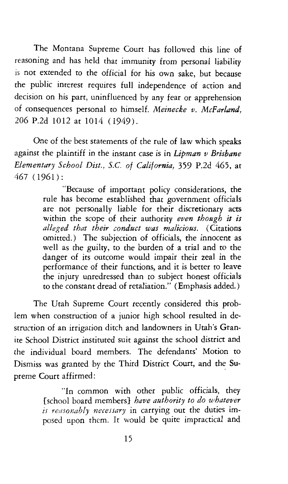The Montana Supreme Court has followed this line of reasoning and has held that immunity from personal liability is not extended to the official for his own sake, but because the public interest requires full independence of action and decision on his part, uninfluenced by any fear or apprehension of consequences personal to himself. *Meinecke v. McFarland,*  206 P.2d 1012 at 1014 (1949).

One of the best statements of the rule of law which speaks against the plaintiff in the instant case is in *Lipman v Brisbane Elementary School Dist., S.C. of California,* 359 P.2d 465, at 467 (1961):

> "Because of important policy considerations, the rule has become established that government officials are not personally liable for their discretionary acts within the scope of their authority *even though it is alleged that their conduct was malicious.* (Citations omitted.) The subjection of officials, the innocent as well as the guilty, to the burden of a trial and to the danger of its outcome would impair their zeal in the performance of their functions, and it is better to leave the injury unredressed than to subject honest officials to the constant dread of retaliation." (Emphasis added.)

The Utah Supreme Court recently considered this problem when construction of a junior high school resulted in destruction of an irrigation ditch and landowners in Utah's Granite School District instituted suit against the school district and the individual board members. The defendants' Motion to Dismiss was granted by the Third District Court, and the Supreme Court affirmed:

> "In common with other public officials, they [school board members} *have authority to do whatever is reasonably necessary* in carrying out the duties imposed upon them. It would *be* quite impractical and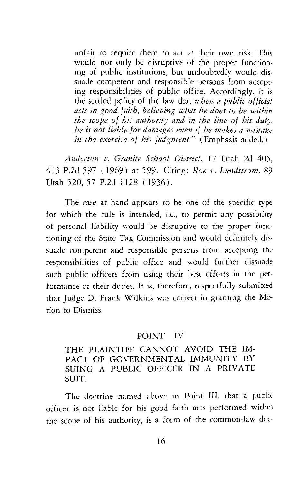unfair to require them to act at their own risk. This would not only be disruptive of the proper functioning of public institutions, but undoubtedly would dissuade competent and responsible persons from accepting responsibilities of public office. Accordingly, it is the settled policy of the law that *when a public official acts in good faith, believing what he does to be within*  the scope of his authority and in the line of his duty, *he is not liable for damages even if he makes a mistake in the exercise of his judgment."* (Emphasis added.)

*Anderson v. Granite School District,* 17 Utah 2d 405, 413 P.2d 597 (1969) at 599. Citing: *Roe v. Lundstrom*, 89 Utah 520, 57 P.2d 1128 ( 1936).

The case at hand appears to be one of the specific type for which the rule is intended, i.e., to permit any possibility of personal liability would be disruptive to the proper functioning of the State Tax Commission and would definitely dissuade competent and responsible persons from accepting the responsibilities of public office and would further dissuade such public officers from using their best efforts in the performance of their duties. It is, therefore, respectfully submitted that Judge D. Frank Wilkins was correct in granting the Motion to Dismiss.

### POINT IV

## THE PLAINTIFF CANNOT AVOID THE IM-PACT OF GOVERNMENTAL IMMUNITY BY SUING A PUBLIC OFFICER IN A PRIVATE SUIT.

The doctrine named above in Point *Ill,* that a public officer is not liable for his good faith acts performed within the scope of his authority, is a form of the common-law doc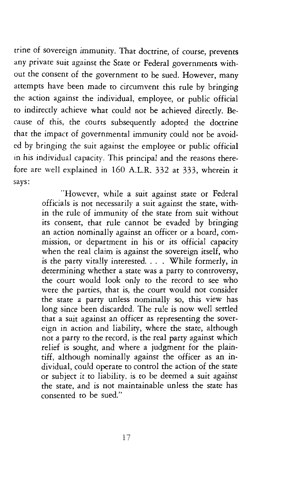trine of sovereign immunity. That doctrine, of course, prevents any private suit against the State or Federal governments without the consent of the government to be sued. However, many attempts have been made to circumvent this rule by bringing the action against the individual, employee, or public official to indirectly achieve what could not be achieved directly. Because of this, the courts subsequently adopted the doctrine that the impact of governmental immunity could not be avoided by bringing the suit against the employee or public official in his individual capacity. This principal and the reasons therefore are well explained in 160 A.LR. 332 at 333, wherein it says:

> "However, while a suit against state or Federal officials is not necessarily a suit against the state, within the rule of immunity of the state from suit without its consent, that rule cannot be evaded by bringing an action nominally against an officer or a board, commission, or department in his or its official capacity when the real claim is against the sovereign itself, who is the party vitally interested. . . . While formerly, in determining whether a state was a party to controversy, the court would look only to the record to see who were the parties, that is, the court would not consider the state a party unless nominally so, this view has long since been discarded. The rule is now well settled that a suit against an officer as representing the sovereign in action and liability, where the state, although not a party to the record, is the real party against which relief is sought, and where a judgment for the plaintiff, although nominally against the officer as an individual, could operate to control the action of the state or subject it to liability, is to be deemed a suit against the state, and is not maintainable unless the state has consented to be sued."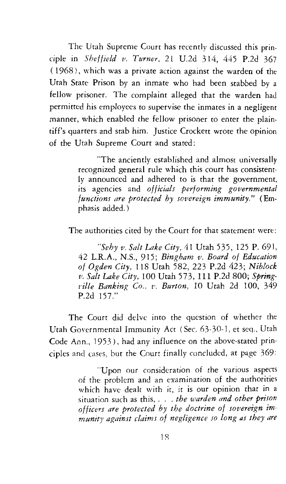The Utah Supreme Court has recently discussed this principle in *Sheffield v. Turner*, 21 U.2d 314, 445 P.2d 367 ( 1968), which was a private action against the warden of the Utah State Prison by an inmate who had been stabbed by a fellow prisoner. The complaint alleged that the warden had permitted his employees to supervise the inmates in a negligent manner, which enabled the fellow prisoner to enter the plaintiff's quarters and stab him. Justice Crockett wrote the opinion of the Utah Supreme Court and stated:

> "The anciently established and almost universally recognized general rule which this court has consistently announced and adhered to is that the government, its agencies and *officials performing governmental functions are protected by sovereign immunity."* (Emphasis added.)

The authorities cited by the Court for that statement were:

*''Sehy v. Salt Lake City,* 41 Utah 535, 125 P. 691, 42 L.R.A., N.S., 915; *Bingham v. Board of Education of Ogden City,* 118 Utah 582, 223 P.2d 423; *Niblock v. Salt Lake City,* 100 Utah 573, 111 P.2d 800; *Spring· tille Banking Co.. v. Burton, 10 Utah 2d 100, 349* P.2d 157."

The Court did delve into the question of whether the Utah Governmental Immunity Act (Sec. 63-30-1, et seq., Utah Code Ann., 1953), had any influence on the above-stated principles and cases, but the Court finally concluded, at page 369:

> "Upon our consideration of the various aspects of the problem and an examination of the authorities which have dealt with it, it is our opinion that in a situation such as this, . . . *the warden and other prison officers are protected by the doctrine of sovereign immunity af{ainst claims of negligence so long as they are*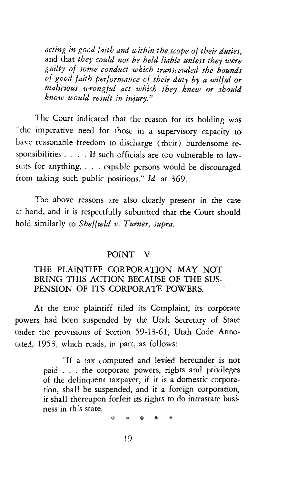*acting in good faith and within the scope of their duties,*  and that *they could not be held liable unless they were guilty of some conduct which transcended the bounds of good faith performance of their duty by a wilful or malicious wrongful act which they knew or should know would result in injury."* 

The Court indicated that the reason for its holding was "the imperative need for those in a supervisory capacity to have reasonable freedom to discharge (their) burdensome responsibilities . . . . If such officials are too vulnerable to lawsuits for anything, . . . capable persons would be discouraged from taking such public positions." *Id.* at 369.

The above reasons are also clearly present in the case at hand, and it is respectfully submitted that the Court should hold similarly to *Sheffield v. Turner, supra.* 

#### POINT V

### THE PLAINTIFF CORPORATION MAY NOT BRING THIS ACTION BECAUSE OF THE SUS-PENSION OF ITS CORPORATE POWERS.

At the time plaintiff filed its Complaint, its corporate powers had been suspended by the Utah Secretary of State under the provisions of Section 59-13-61, Utah Code Annotated, 1953, which reads, in part, as follows:

> "If a tax computed and levied hereunder is not paid . . . the corporate powers, rights and privileges of the delinquent taxpayer, if it is a domestic corporation, shall be suspended, and if a foreign corporation, it shall thereupon forfeit its rights to do intrastate business in this state.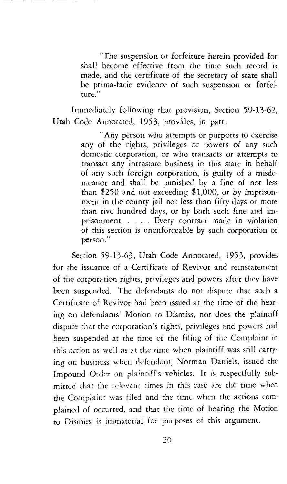"The suspension or forfeiture herein provided for shall become effective from the time such record is made, and the certificate of the secretary of state shall be prima-facie evidence of such suspension or forfeiture."

Immediately following that provision, Section 59-13-62, Utah Code Annotated, 1953, provides, in part:

> "Any person who attempts or purports to exercise any of the rights, privileges or powers of any such domestic corporation, or who transacts or attempts to transact any intrastate business in this state in behalf of any such foreign corporation, is guilty of a misdemeanor and shall be punished by a fine of not less than \$250 and not exceeding \$1,000, or by imprisonment in the county jail not less than fifty days or more than five hundred days, or by both such fine and imprisonment. . . . . Every contract made in violation of this section is unenforceable by such corporation or person."

Section 59-13-63, Utah Code Annotated, 1953, provides for the issuance of a Certificate of Revivor and reinstatement of the corporation rights, privileges and powers after they have been suspended. The defendants do not dispute that such a Certificate of Revivor had been issued at the time of the hearing on defendants' Motion to Dismiss, nor does the plaintiff dispute that the corporation's rights, privileges and powers had been suspended at the time of the filing of the Complaint in this action as well as at the time when plaintiff was still carrying on business when defendant, Norman Daniels, issued the Impound Order on plaintiff's vehicles. It is respectfully submitted that the relevant times in this case are the time when the Complaint was filed and the time when the actions complained of occurred, and that the time of hearing the Motion to Dismiss is immaterial for purposes of this argument.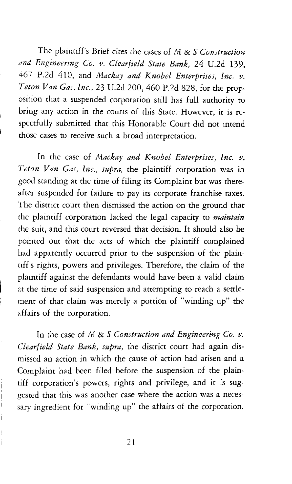The plaintiffs Brief cites the cases of *M* & S *Construction and Engineering Co. v. Clearfield State Bank,* 24 U.2d 139, 467 P.2d 410, and *Mackay and Knobel Enterprises, Inc. v. Teton Van Gas, Inc.,* 23 U.2d 200, 460 P.2d 828, for the proposition that a suspended corporation still has full authority to bring any action in the courts of this State. However, it is respectfully submitted that this Honorable Court did not intend those cases to receive such a broad interpretation.

In the case of *Mackay and Knobel Enterprises, Inc. v. Teton Van Gas, Inc., supra,* the plaintiff corporation was in good standing at the time of filing its Complaint but was thereafter suspended for failure to pay its corporate franchise taxes. The district court then dismissed the action on the ground that the plaintiff corporation lacked the legal capacity to *maintain*  the suit, and this court reversed that decision. It should also be pointed out that the acts of which the plaintiff complained had apparently occurred prior to the suspension of the plaintiff's rights, powers and privileges. Therefore, the claim of the plaintiff against the defendants would have been a valid claim at the time of said suspension and attempting to reach a settlement of that claim was merely a portion of "winding up" the affairs of the corporation.

In the case of *M* & S *Construction and Engineering Co. v. Clearfield State Bank, supra,* the district court had again dismissed an action in which the cause of action had arisen and a Complaint had been filed before the suspension of the plaintiff corporation's powers, rights and privilege, and it is suggested that this was another case where the action was a necessary ingredient for "winding up" the affairs of the corporation.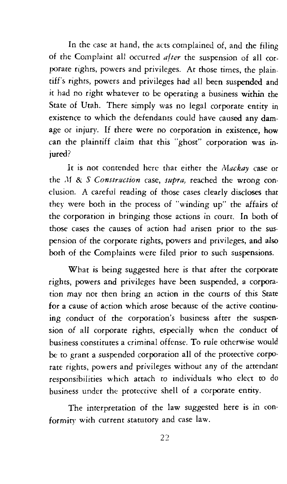In the case at hand, the acts complained of, and the filing of the Complaint all occurred *after* the suspension of all corporate rights, powers and privileges. At those times, the plaintiff's rights, powers and privileges had all been suspended and it had no right whatever to be operating a business within the State of Utah. There simply was no legal corporate entity in existence to which the defendants could have caused any damage or injury. If there were no corporation in existence, how can the plaintiff claim that this "ghost" corporation was injured?

It is not contended here that either the *Aiackay* case or the ,If & *S Construction* case, *supra,* reached the wrong conclusion. A careful reading of those cases clearly discloses that they were both in the process of "winding up" the affairs of the corporation in bringing those actions in court. In both of those cases the causes of action had arisen prior to the suspension of the corporate rights, powers and privileges, and also both of the Complaints were filed prior to such suspensions.

What is being suggested here is that after the corporate rights, powers and privileges have been suspended, a corporation may not then bring an action in the courts of this State for a cause of action which arose because of the active continuing conduct of the corporation's business after the suspension of all corporate rights, especially when the conduct of business constitutes a criminal offense. To rule otherwise would be to grant a suspended corporation all of the protective corporate rights, powers and privileges without any of the attendant responsibilities which attach to individuals who elect to do business under the protective shell of a corporate entity.

The interpretation of the law suggested here is in conformity with current statutory and case law.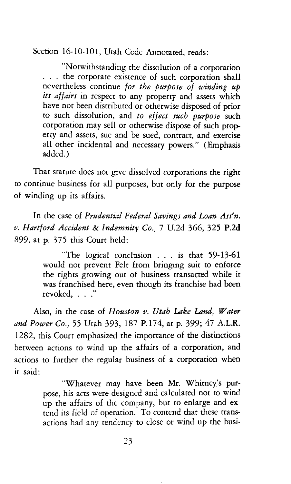Section 16-10-101, Utah Code Annotated, reads:

"Notwithstanding the dissolution of a corporation . . . the corporate existence of such corporation shall nevertheless continue *for the purpose of winding up its affairs* in respect to any property and assets which have not been distributed or otherwise disposed of prior to such dissolution, and *to effect such purpose* such corporation may sell or otherwise dispose of such property and assets, sue and be sued, contract, and exercise all other incidental and necessary powers." (Emphasis added.)

That statute does not give dissolved corporations the right to continue business for all purposes, but only for the purpose of winding up its affairs.

In the case of *Prudential Federal Savings and Loan Ass'n. v. Hartford Accident* & *Indemnity Co.,* 7 U.2d 366, 325 P.2d 899, at p. 375 this Court held:

> "The logical conclusion . . . is that 59-13-61 would not prevent Felt from bringing suit to enforce the rights growing out of business transacted while it was franchised here, even though its franchise had been revoked, . . ."

Also, in the case of *Houston v. Utah Lake Land, Water and Power Co.,* 55 Utah 393, 187 P.174, at p. 399; 47 A.L.R. 1282, this Court emphasized the importance of the distinctions between actions to wind up the affairs of a corporation, and actions to further the regular business of a corporation when it said:

> "Whatever may have been Mr. Whitney's purpose, his acts were designed and calculated not to wind up the affairs of the company, but to enlarge and extend its field of operation. To contend that these transactions had any tendency to close or wind up the busi-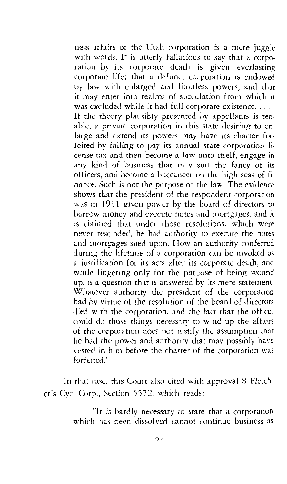ness affairs of the Utah corporation is a mere juggle with words. It is utterly fallacious to say that a corporation by its corporate death is given everlasting corporate life; that a defunct corporation is endowed by law with enlarged and limitless powers, and that it may enter into realms of speculation from which it was excluded while it had full corporate existence..... If the theory plausibly presented by appellants is tenable, a private corporation in this state desiring to enlarge and extend its powers may have its charter forfeited by failing to pay its annual state corporation license tax and then become a law unto itself, engage in any kind of business that may suit the fancy of its officers, and become a buccaneer on the high seas of finance. Such is not the purpose of the law. The evidence shows that the president of the respondent corporation was in 1911 given power by the board of directors to borrow money and execute notes and mortgages, and it is claimed that under those resolutions, which were never rescinded, he had authority to execute the notes and mortgages sued upon. How an authority conferred during the lifetime of a corporation can be invoked as a justification for its acts after its corporate death, and while lingering only for the purpose of being wound up, is a question that is answered by its mere statement. Whatever authority the president of the corporation had by virtue of the resolution of the board of directors died with the corporation, and the fact that the officer could do those things necessary to wind up the affairs of the corporation does not justify the assumption that he had the power and authority that may possibly have vested in him before the charter of the corporation was forfeited."

In that case, this Court also cited with approval 8 Fletcher's Cyc. Corp., Section 5572, which reads:

> "It is hardly necessary to state that a corporation which has been dissolved cannot continue business as